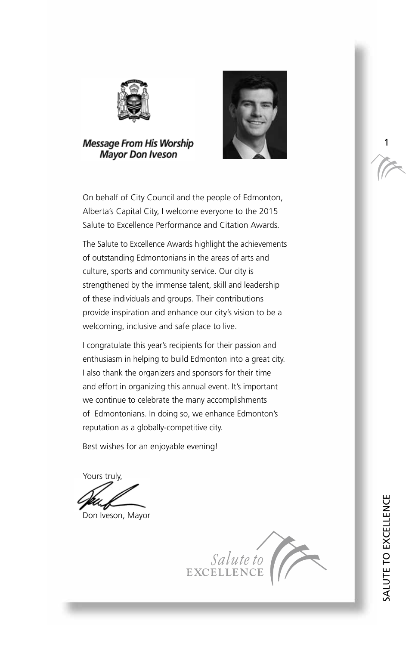

**Message From His Worship Mayor Don Iveson** 



On behalf of City Council and the people of Edmonton, Alberta's Capital City, I welcome everyone to the 2015 Salute to Excellence Performance and Citation Awards*.* 

The Salute to Excellence Awards highlight the achievements of outstanding Edmontonians in the areas of arts and culture, sports and community service. Our city is strengthened by the immense talent, skill and leadership of these individuals and groups. Their contributions provide inspiration and enhance our city's vision to be a welcoming, inclusive and safe place to live.

I congratulate this year's recipients for their passion and enthusiasm in helping to build Edmonton into a great city. I also thank the organizers and sponsors for their time and effort in organizing this annual event. It's important we continue to celebrate the many accomplishments of Edmontonians. In doing so, we enhance Edmonton's reputation as a globally-competitive city.

Best wishes for an enjoyable evening!

Yours truly,

Don Iveson, Mayor



1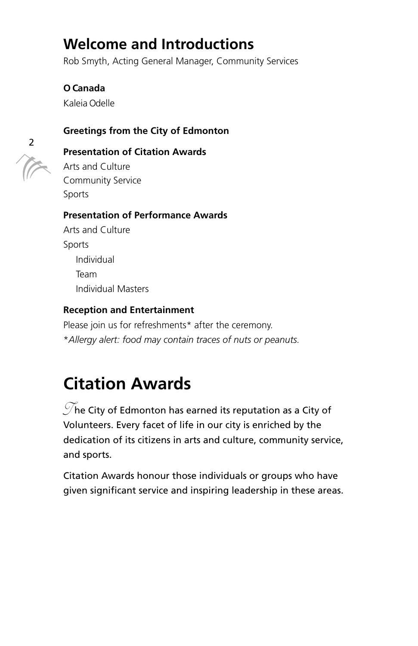# **Welcome and Introductions**

Rob Smyth, Acting General Manager, Community Services

**O Canada**  Kaleia Odelle

#### **Greetings from the City of Edmonton**



#### **Presentation of Citation Awards**

Arts and Culture Community Service Sports

#### **Presentation of Performance Awards**

Arts and Culture Sports Individual Team Individual Masters

#### **Reception and Entertainment**

Please join us for refreshments\* after the ceremony. \**Allergy alert: food may contain traces of nuts or peanuts.* 

# **Citation Awards**

 $\mathcal{T}$ he City of Edmonton has earned its reputation as a City of Volunteers. Every facet of life in our city is enriched by the dedication of its citizens in arts and culture, community service, and sports.

Citation Awards honour those individuals or groups who have given significant service and inspiring leadership in these areas.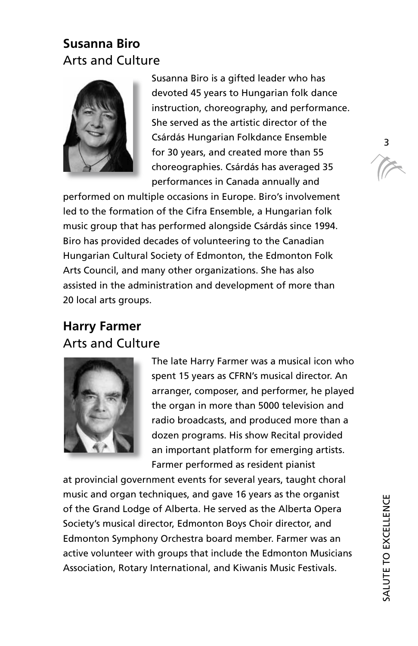# **Susanna Biro**  Arts and Culture



Susanna Biro is a gifted leader who has devoted 45 years to Hungarian folk dance instruction, choreography, and performance. She served as the artistic director of the Csárdás Hungarian Folkdance Ensemble for 30 years, and created more than 55 choreographies. Csárdás has averaged 35 performances in Canada annually and

performed on multiple occasions in Europe. Biro's involvement led to the formation of the Cifra Ensemble, a Hungarian folk music group that has performed alongside Csárdás since 1994. Biro has provided decades of volunteering to the Canadian Hungarian Cultural Society of Edmonton, the Edmonton Folk Arts Council, and many other organizations. She has also assisted in the administration and development of more than 20 local arts groups.

# **Harry Farmer**  Arts and Culture



The late Harry Farmer was a musical icon who spent 15 years as CFRN's musical director. An arranger, composer, and performer, he played the organ in more than 5000 television and radio broadcasts, and produced more than a dozen programs. His show Recital provided an important platform for emerging artists. Farmer performed as resident pianist

at provincial government events for several years, taught choral music and organ techniques, and gave 16 years as the organist of the Grand Lodge of Alberta. He served as the Alberta Opera Society's musical director, Edmonton Boys Choir director, and Edmonton Symphony Orchestra board member. Farmer was an active volunteer with groups that include the Edmonton Musicians Association, Rotary International, and Kiwanis Music Festivals.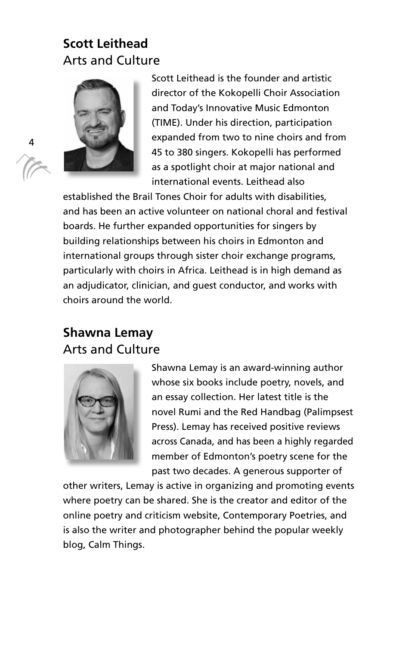# **Scott Leithead**  Arts and Culture



Scott Leithead is the founder and artistic director of the Kokopelli Choir Association and Today's Innovative Music Edmonton (TIME). Under his direction, participation expanded from two to nine choirs and from 45 to 380 singers. Kokopelli has performed as a spotlight choir at major national and international events. Leithead also

established the Brail Tones Choir for adults with disabilities, and has been an active volunteer on national choral and festival boards. He further expanded opportunities for singers by building relationships between his choirs in Edmonton and international groups through sister choir exchange programs, particularly with choirs in Africa. Leithead is in high demand as an adjudicator, clinician, and guest conductor, and works with choirs around the world.

# **Shawna Lemay**  Arts and Culture



Shawna Lemay is an award-winning author whose six books include poetry, novels, and an essay collection. Her latest title is the novel Rumi and the Red Handbag (Palimpsest Press). Lemay has received positive reviews across Canada, and has been a highly regarded member of Edmonton's poetry scene for the past two decades. A generous supporter of

other writers, Lemay is active in organizing and promoting events where poetry can be shared. She is the creator and editor of the online poetry and criticism website, Contemporary Poetries, and is also the writer and photographer behind the popular weekly blog, Calm Things.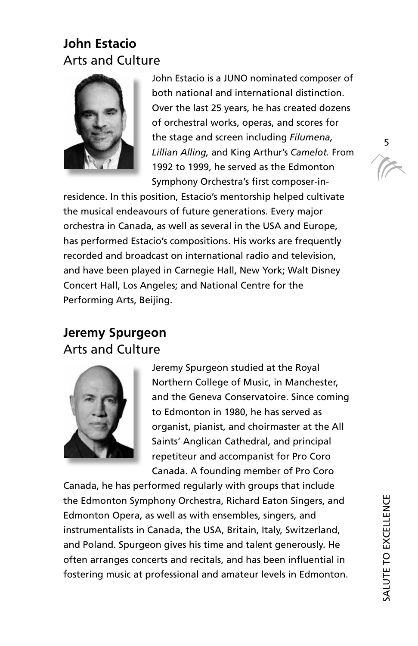# **John Estacio**  Arts and Culture



John Estacio is a JUNO nominated composer of both national and international distinction. Over the last 25 years, he has created dozens of orchestral works, operas, and scores for the stage and screen including *Filumena, Lillian Alling,* and King Arthur's *Camelot.* From 1992 to 1999, he served as the Edmonton Symphony Orchestra's first composer-in-

residence. In this position, Estacio's mentorship helped cultivate the musical endeavours of future generations. Every major orchestra in Canada, as well as several in the USA and Europe, has performed Estacio's compositions. His works are frequently recorded and broadcast on international radio and television, and have been played in Carnegie Hall, New York; Walt Disney Concert Hall, Los Angeles; and National Centre for the Performing Arts, Beijing.

# **Jeremy Spurgeon**  Arts and Culture



Jeremy Spurgeon studied at the Royal Northern College of Music, in Manchester, and the Geneva Conservatoire. Since coming to Edmonton in 1980, he has served as organist, pianist, and choirmaster at the All Saints' Anglican Cathedral, and principal repetiteur and accompanist for Pro Coro Canada. A founding member of Pro Coro

Canada, he has performed regularly with groups that include the Edmonton Symphony Orchestra, Richard Eaton Singers, and Edmonton Opera, as well as with ensembles, singers, and instrumentalists in Canada, the USA, Britain, Italy, Switzerland, and Poland. Spurgeon gives his time and talent generously. He often arranges concerts and recitals, and has been influential in fostering music at professional and amateur levels in Edmonton.

5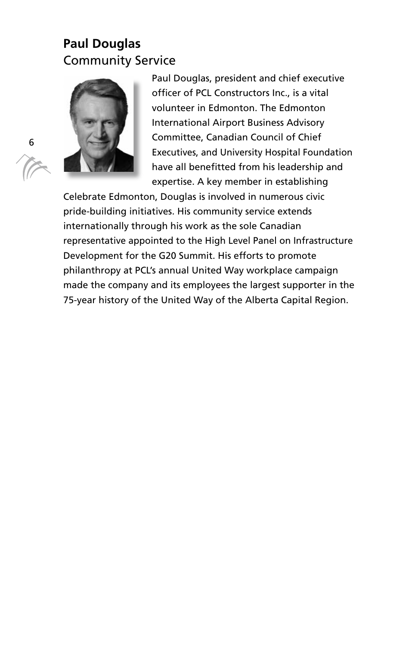# **Paul Douglas**  Community Service



Paul Douglas, president and chief executive officer of PCL Constructors Inc., is a vital volunteer in Edmonton. The Edmonton International Airport Business Advisory Committee, Canadian Council of Chief Executives, and University Hospital Foundation have all benefitted from his leadership and expertise. A key member in establishing

Celebrate Edmonton, Douglas is involved in numerous civic pride-building initiatives. His community service extends internationally through his work as the sole Canadian representative appointed to the High Level Panel on Infrastructure Development for the G20 Summit. His efforts to promote philanthropy at PCL's annual United Way workplace campaign made the company and its employees the largest supporter in the 75-year history of the United Way of the Alberta Capital Region.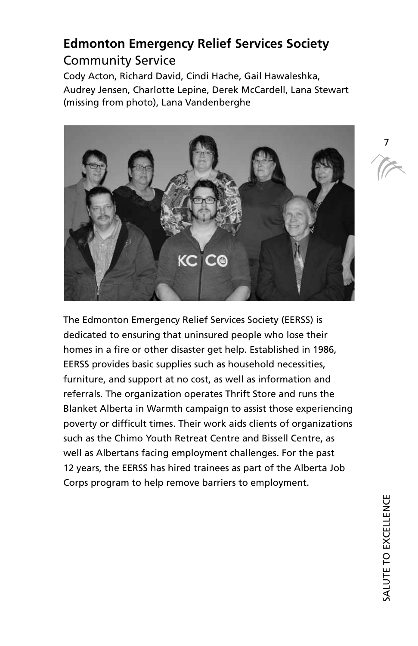# **Edmonton Emergency Relief Services Society**  Community Service

Cody Acton, Richard David, Cindi Hache, Gail Hawaleshka, Audrey Jensen, Charlotte Lepine, Derek McCardell, Lana Stewart (missing from photo), Lana Vandenberghe



The Edmonton Emergency Relief Services Society (EERSS) is dedicated to ensuring that uninsured people who lose their homes in a fire or other disaster get help. Established in 1986, EERSS provides basic supplies such as household necessities, furniture, and support at no cost, as well as information and referrals. The organization operates Thrift Store and runs the Blanket Alberta in Warmth campaign to assist those experiencing poverty or difficult times. Their work aids clients of organizations such as the Chimo Youth Retreat Centre and Bissell Centre, as well as Albertans facing employment challenges. For the past 12 years, the EERSS has hired trainees as part of the Alberta Job Corps program to help remove barriers to employment.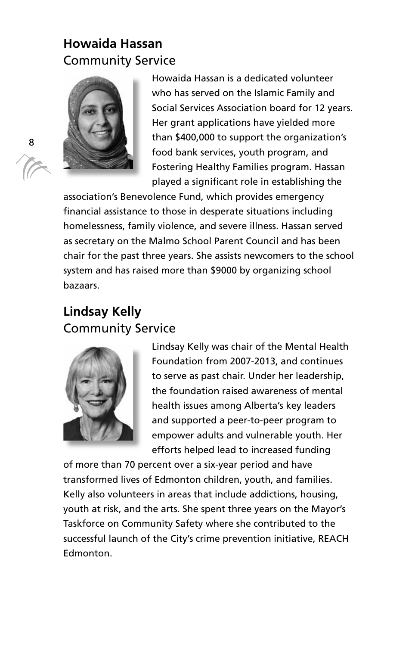# **Howaida Hassan**  Community Service



Howaida Hassan is a dedicated volunteer who has served on the Islamic Family and Social Services Association board for 12 years. Her grant applications have yielded more than \$400,000 to support the organization's food bank services, youth program, and Fostering Healthy Families program. Hassan played a significant role in establishing the

association's Benevolence Fund, which provides emergency financial assistance to those in desperate situations including homelessness, family violence, and severe illness. Hassan served as secretary on the Malmo School Parent Council and has been chair for the past three years. She assists newcomers to the school system and has raised more than \$9000 by organizing school bazaars.

# **Lindsay Kelly**  Community Service



Lindsay Kelly was chair of the Mental Health Foundation from 2007-2013, and continues to serve as past chair. Under her leadership, the foundation raised awareness of mental health issues among Alberta's key leaders and supported a peer-to-peer program to empower adults and vulnerable youth. Her efforts helped lead to increased funding

of more than 70 percent over a six-year period and have transformed lives of Edmonton children, youth, and families. Kelly also volunteers in areas that include addictions, housing, youth at risk, and the arts. She spent three years on the Mayor's Taskforce on Community Safety where she contributed to the successful launch of the City's crime prevention initiative, REACH Edmonton.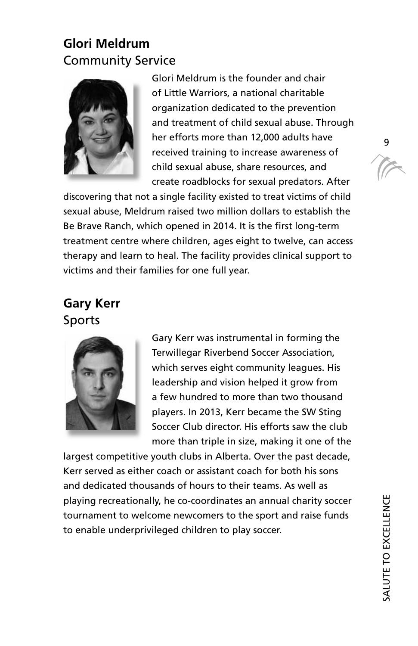# **Glori Meldrum**  Community Service



Glori Meldrum is the founder and chair of Little Warriors, a national charitable organization dedicated to the prevention and treatment of child sexual abuse. Through her efforts more than 12,000 adults have received training to increase awareness of child sexual abuse, share resources, and create roadblocks for sexual predators. After

discovering that not a single facility existed to treat victims of child sexual abuse, Meldrum raised two million dollars to establish the Be Brave Ranch, which opened in 2014. It is the first long-term treatment centre where children, ages eight to twelve, can access therapy and learn to heal. The facility provides clinical support to victims and their families for one full year.

# **Gary Kerr**  Sports



Gary Kerr was instrumental in forming the Terwillegar Riverbend Soccer Association, which serves eight community leagues. His leadership and vision helped it grow from a few hundred to more than two thousand players. In 2013, Kerr became the SW Sting Soccer Club director. His efforts saw the club more than triple in size, making it one of the

largest competitive youth clubs in Alberta. Over the past decade, Kerr served as either coach or assistant coach for both his sons and dedicated thousands of hours to their teams. As well as playing recreationally, he co-coordinates an annual charity soccer tournament to welcome newcomers to the sport and raise funds to enable underprivileged children to play soccer.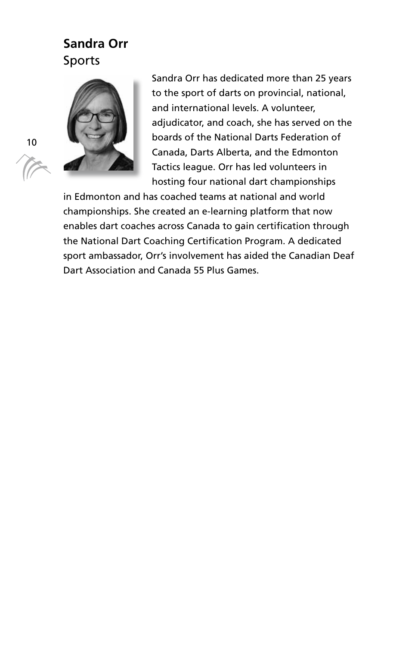# **Sandra Orr**  Sports



Sandra Orr has dedicated more than 25 years to the sport of darts on provincial, national, and international levels. A volunteer, adjudicator, and coach, she has served on the boards of the National Darts Federation of Canada, Darts Alberta, and the Edmonton Tactics league. Orr has led volunteers in hosting four national dart championships

in Edmonton and has coached teams at national and world championships. She created an e-learning platform that now enables dart coaches across Canada to gain certification through the National Dart Coaching Certification Program. A dedicated sport ambassador, Orr's involvement has aided the Canadian Deaf Dart Association and Canada 55 Plus Games.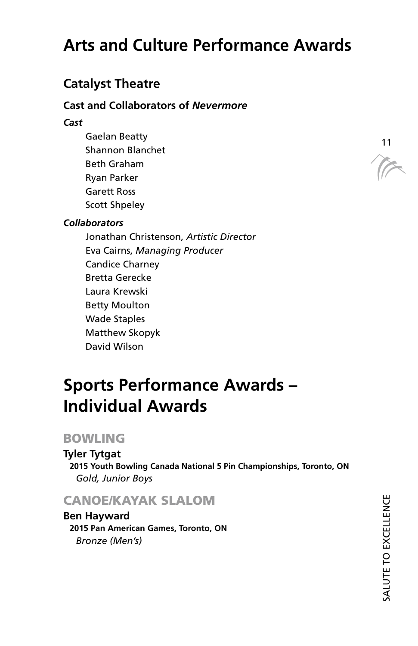# **Arts and Culture Performance Awards**

# **Catalyst Theatre**

#### **Cast and Collaborators of** *Nevermore*

#### *Cast*

Gaelan Beatty Shannon Blanchet Beth Graham Ryan Parker Garett Ross Scott Shpeley

#### *Collaborators*

Jonathan Christenson, *Artistic Director* Eva Cairns, *Managing Producer* Candice Charney Bretta Gerecke Laura Krewski Betty Moulton Wade Staples Matthew Skopyk David Wilson

# **Sports Performance Awards – Individual Awards**

# BOWLING

**Tyler Tytgat 2015 Youth Bowling Canada National 5 Pin Championships, Toronto, ON**  *Gold, Junior Boys* 

# CANOE/KAYAK SLALOM

**Ben Hayward 2015 Pan American Games, Toronto, ON**  *Bronze (Men's)* 

 $\widetilde{V}$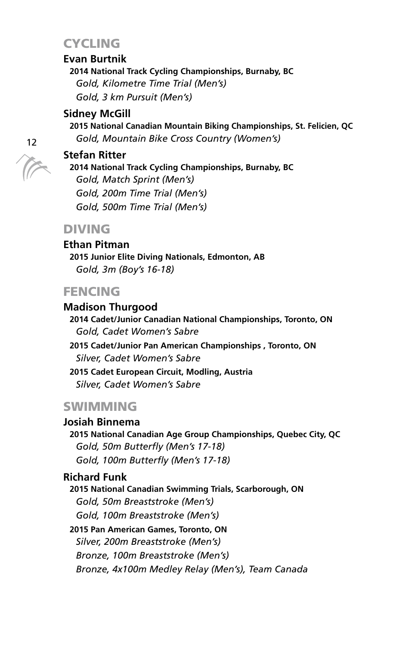# **CYCLING**

#### **Evan Burtnik**

**2014 National Track Cycling Championships, Burnaby, BC**  *Gold, Kilometre Time Trial (Men's) Gold, 3 km Pursuit (Men's)* 

#### **Sidney McGill**

**2015 National Canadian Mountain Biking Championships, St. Felicien, QC**  *Gold, Mountain Bike Cross Country (Women's)* 

#### **Stefan Ritter**

**2014 National Track Cycling Championships, Burnaby, BC**  *Gold, Match Sprint (Men's) Gold, 200m Time Trial (Men's) Gold, 500m Time Trial (Men's)* 

### DIVING

**Ethan Pitman 2015 Junior Elite Diving Nationals, Edmonton, AB**  *Gold, 3m (Boy's 16-18)* 

# **FENCING**

**Madison Thurgood 2014 Cadet/Junior Canadian National Championships, Toronto, ON**  *Gold, Cadet Women's Sabre*  **2015 Cadet/Junior Pan American Championships , Toronto, ON**  *Silver, Cadet Women's Sabre*  **2015 Cadet European Circuit, Modling, Austria**  *Silver, Cadet Women's Sabre* 

# SWIMMING

**Josiah Binnema** 

**2015 National Canadian Age Group Championships, Quebec City, QC**  *Gold, 50m Butterfly (Men's 17-18) Gold, 100m Butterfly (Men's 17-18)* 

#### **Richard Funk**

**2015 National Canadian Swimming Trials, Scarborough, ON**  *Gold, 50m Breaststroke (Men's) Gold, 100m Breaststroke (Men's)*  **2015 Pan American Games, Toronto, ON**  *Silver, 200m Breaststroke (Men's) Bronze, 100m Breaststroke (Men's)* 

*Bronze, 4x100m Medley Relay (Men's), Team Canada*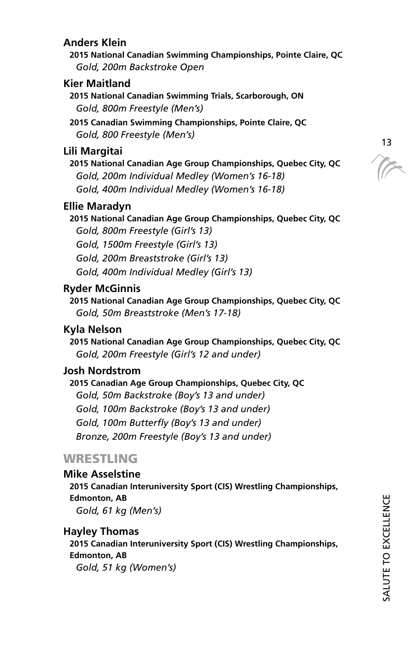#### **Anders Klein**

**2015 National Canadian Swimming Championships, Pointe Claire, QC**  *Gold, 200m Backstroke Open* 

#### **Kier Maitland**

**2015 National Canadian Swimming Trials, Scarborough, ON**  *Gold, 800m Freestyle (Men's)* 

**2015 Canadian Swimming Championships, Pointe Claire, QC**  *Gold, 800 Freestyle (Men's)* 

#### **Lili Margitai**

**2015 National Canadian Age Group Championships, Quebec City, QC**  *Gold, 200m Individual Medley (Women's 16-18) Gold, 400m Individual Medley (Women's 16-18)* 

#### **Ellie Maradyn**

**2015 National Canadian Age Group Championships, Quebec City, QC**  *Gold, 800m Freestyle (Girl's 13) Gold, 1500m Freestyle (Girl's 13)* 

*Gold, 200m Breaststroke (Girl's 13)* 

*Gold, 400m Individual Medley (Girl's 13)* 

#### **Ryder McGinnis**

**2015 National Canadian Age Group Championships, Quebec City, QC**  *Gold, 50m Breaststroke (Men's 17-18)* 

#### **Kyla Nelson**

**2015 National Canadian Age Group Championships, Quebec City, QC**  *Gold, 200m Freestyle (Girl's 12 and under)* 

#### **Josh Nordstrom**

**2015 Canadian Age Group Championships, Quebec City, QC**  *Gold, 50m Backstroke (Boy's 13 and under) Gold, 100m Backstroke (Boy's 13 and under) Gold, 100m Butterfly (Boy's 13 and under) Bronze, 200m Freestyle (Boy's 13 and under)* 

# WRESTLING

**Mike Asselstine 2015 Canadian Interuniversity Sport (CIS) Wrestling Championships, Edmonton, AB**  *Gold, 61 kg (Men's)* 

#### **Hayley Thomas**

**2015 Canadian Interuniversity Sport (CIS) Wrestling Championships, Edmonton, AB**  *Gold, 51 kg (Women's)* 

T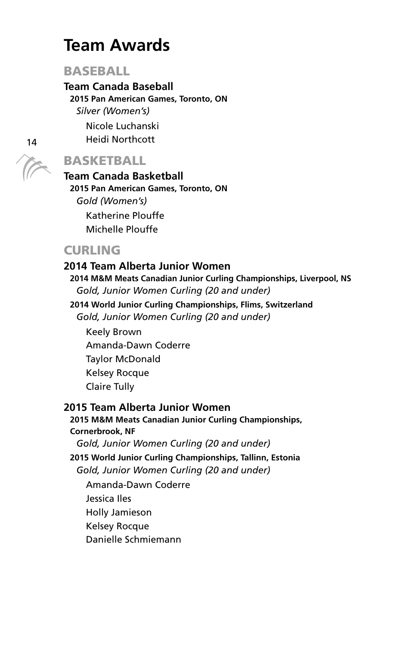# **Team Awards**

#### **BASEBALL**

# **Team Canada Baseball**

**2015 Pan American Games, Toronto, ON** 

*Silver (Women's)* 

Nicole Luchanski

Heidi Northcott

# BASKETBALL

### **Team Canada Basketball 2015 Pan American Games, Toronto, ON**  *Gold (Women's)*  Katherine Plouffe

Michelle Plouffe

# **CURLING**

#### **2014 Team Alberta Junior Women 2014 M&M Meats Canadian Junior Curling Championships, Liverpool, NS**  *Gold, Junior Women Curling (20 and under)*

**2014 World Junior Curling Championships, Flims, Switzerland**  *Gold, Junior Women Curling (20 and under)*  Keely Brown Amanda-Dawn Coderre Taylor McDonald Kelsey Rocque

Claire Tully

#### **2015 Team Alberta Junior Women**

#### **2015 M&M Meats Canadian Junior Curling Championships, Cornerbrook, NF**  *Gold, Junior Women Curling (20 and under)*  **2015 World Junior Curling Championships, Tallinn, Estonia**

*Gold, Junior Women Curling (20 and under)* 

Amanda-Dawn Coderre Jessica Iles Holly Jamieson Kelsey Rocque Danielle Schmiemann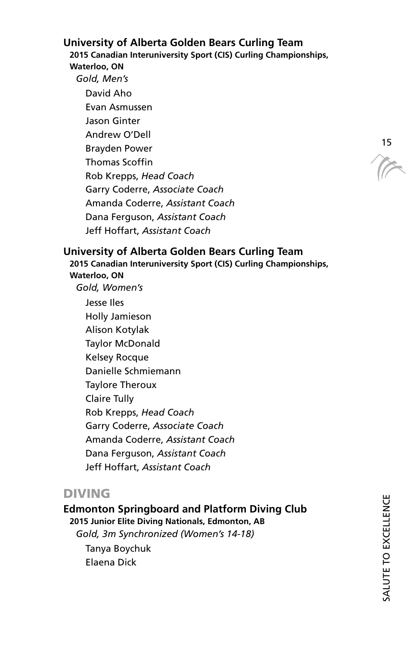#### **University of Alberta Golden Bears Curling Team**

**2015 Canadian Interuniversity Sport (CIS) Curling Championships, Waterloo, ON** 

*Gold, Men's*  David Aho Evan Asmussen Jason Ginter Andrew O'Dell Brayden Power Thomas Scoffin Rob Krepps, *Head Coach* Garry Coderre, *Associate Coach* Amanda Coderre, *Assistant Coach* Dana Ferguson, *Assistant Coach* Jeff Hoffart, *Assistant Coach*

15

#### **University of Alberta Golden Bears Curling Team**

**2015 Canadian Interuniversity Sport (CIS) Curling Championships, Waterloo, ON**  *Gold, Women's* 

Jesse Iles Holly Jamieson Alison Kotylak Taylor McDonald Kelsey Rocque Danielle Schmiemann Taylore Theroux Claire Tully Rob Krepps, *Head Coach* Garry Coderre, *Associate Coach*  Amanda Coderre, *Assistant Coach* Dana Ferguson, *Assistant Coach* Jeff Hoffart, *Assistant Coach*

### DIVING

**Edmonton Springboard and Platform Diving Club 2015 Junior Elite Diving Nationals, Edmonton, AB** 

*Gold, 3m Synchronized (Women's 14-18)* 

Tanya Boychuk Elaena Dick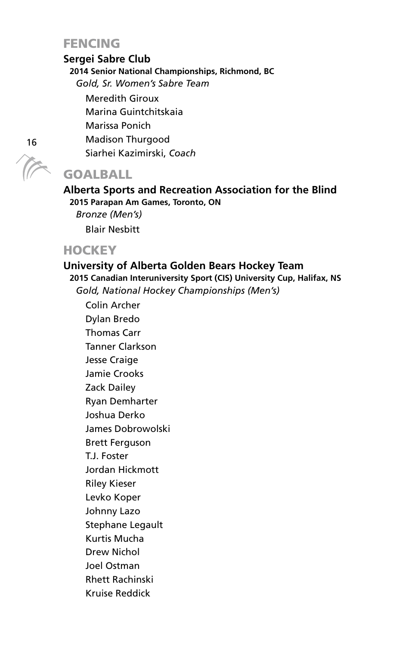# **FENCING**

#### **Sergei Sabre Club**

**2014 Senior National Championships, Richmond, BC** 

*Gold, Sr. Women's Sabre Team* 

Meredith Giroux

Marina Guintchitskaia

Marissa Ponich

Madison Thurgood

Siarhei Kazimirski, *Coach*

# GOALBALL

#### **Alberta Sports and Recreation Association for the Blind 2015 Parapan Am Games, Toronto, ON**

*Bronze (Men's)*  Blair Nesbitt

# **HOCKEY**

#### **University of Alberta Golden Bears Hockey Team**

**2015 Canadian Interuniversity Sport (CIS) University Cup, Halifax, NS**  *Gold, National Hockey Championships (Men's)* 

Colin Archer Dylan Bredo Thomas Carr Tanner Clarkson Jesse Craige Jamie Crooks Zack Dailey Ryan Demharter Joshua Derko James Dobrowolski Brett Ferguson T.J. Foster Jordan Hickmott Riley Kieser Levko Koper Johnny Lazo Stephane Legault Kurtis Mucha Drew Nichol Joel Ostman Rhett Rachinski

Kruise Reddick

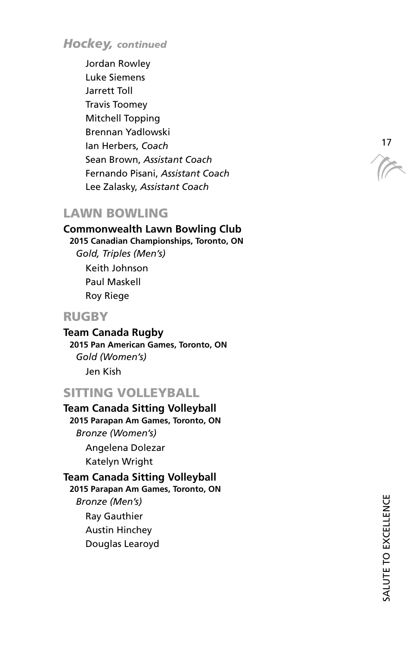*Hockey, continued*

Jordan Rowley Luke Siemens Jarrett Toll Travis Toomey Mitchell Topping Brennan Yadlowski Ian Herbers, *Coach* Sean Brown, *Assistant Coach* Fernando Pisani, *Assistant Coach* Lee Zalasky, *Assistant Coach*

### LAWN BOWLING

**Commonwealth Lawn Bowling Club 2015 Canadian Championships, Toronto, ON**  *Gold, Triples (Men's)*  Keith Johnson Paul Maskell Roy Riege

### RUGBY

**Team Canada Rugby 2015 Pan American Games, Toronto, ON**  *Gold (Women's)*  Jen Kish

# SITTING VOLLEYBALL

- **Team Canada Sitting Volleyball 2015 Parapan Am Games, Toronto, ON**  *Bronze (Women's)*  Angelena Dolezar Katelyn Wright **Team Canada Sitting Volleyball 2015 Parapan Am Games, Toronto, ON**  *Bronze (Men's)*  Ray Gauthier
	- Austin Hinchey
	- Douglas Learoyd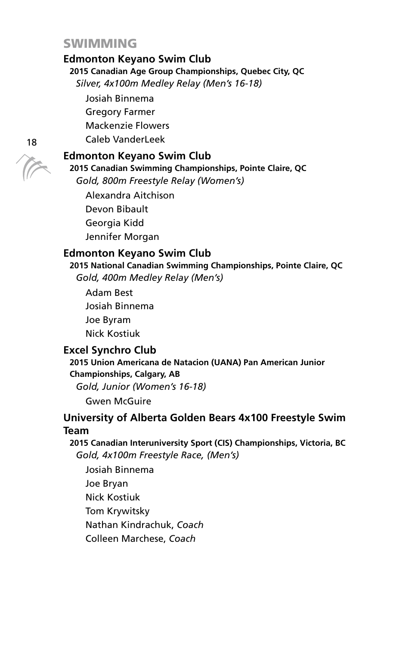#### **SWIMMING**

#### **Edmonton Keyano Swim Club**

**2015 Canadian Age Group Championships, Quebec City, QC**  *Silver, 4x100m Medley Relay (Men's 16-18)* 

Josiah Binnema Gregory Farmer

Mackenzie Flowers

Caleb VanderLeek

#### **Edmonton Keyano Swim Club**

**2015 Canadian Swimming Championships, Pointe Claire, QC**  *Gold, 800m Freestyle Relay (Women's)* 

Alexandra Aitchison Devon Bibault Georgia Kidd Jennifer Morgan

#### **Edmonton Keyano Swim Club**

**2015 National Canadian Swimming Championships, Pointe Claire, QC**  *Gold, 400m Medley Relay (Men's)* 

Adam Best Josiah Binnema Joe Byram Nick Kostiuk

#### **Excel Synchro Club**

**2015 Union Americana de Natacion (UANA) Pan American Junior Championships, Calgary, AB** 

*Gold, Junior (Women's 16-18)* 

Gwen McGuire

#### **University of Alberta Golden Bears 4x100 Freestyle Swim Team**

**2015 Canadian Interuniversity Sport (CIS) Championships, Victoria, BC**  *Gold, 4x100m Freestyle Race, (Men's)* 

Josiah Binnema Joe Bryan Nick Kostiuk Tom Krywitsky Nathan Kindrachuk, *Coach*  Colleen Marchese, *Coach*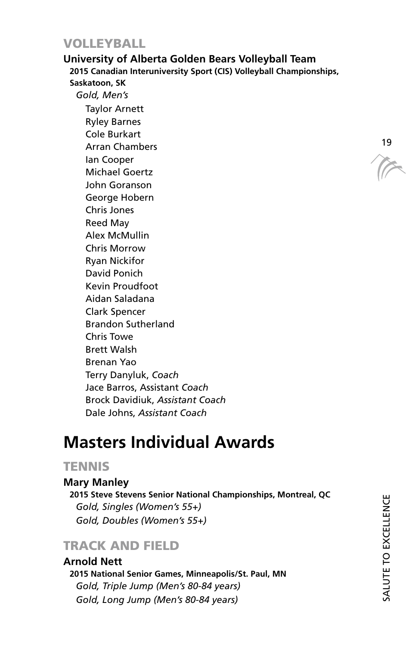### VOLLEYBALL

#### **University of Alberta Golden Bears Volleyball Team**

**2015 Canadian Interuniversity Sport (CIS) Volleyball Championships, Saskatoon, SK** 

*Gold, Men's*  Taylor Arnett Ryley Barnes Cole Burkart Arran Chambers Ian Cooper Michael Goertz John Goranson George Hobern Chris Jones Reed May Alex McMullin Chris Morrow Ryan Nickifor David Ponich Kevin Proudfoot Aidan Saladana Clark Spencer Brandon Sutherland Chris Towe Brett Walsh Brenan Yao Terry Danyluk, *Coach* Jace Barros, Assistant *Coach* Brock Davidiuk, *Assistant Coach* Dale Johns, *Assistant Coach*

# **Masters Individual Awards**

## **TENNIS**

#### **Mary Manley**

**2015 Steve Stevens Senior National Championships, Montreal, QC**  *Gold, Singles (Women's 55+) Gold, Doubles (Women's 55+)* 

# TRACK AND FIELD

**Arnold Nett 2015 National Senior Games, Minneapolis/St. Paul, MN**  *Gold, Triple Jump (Men's 80-84 years) Gold, Long Jump (Men's 80-84 years)* 

TE